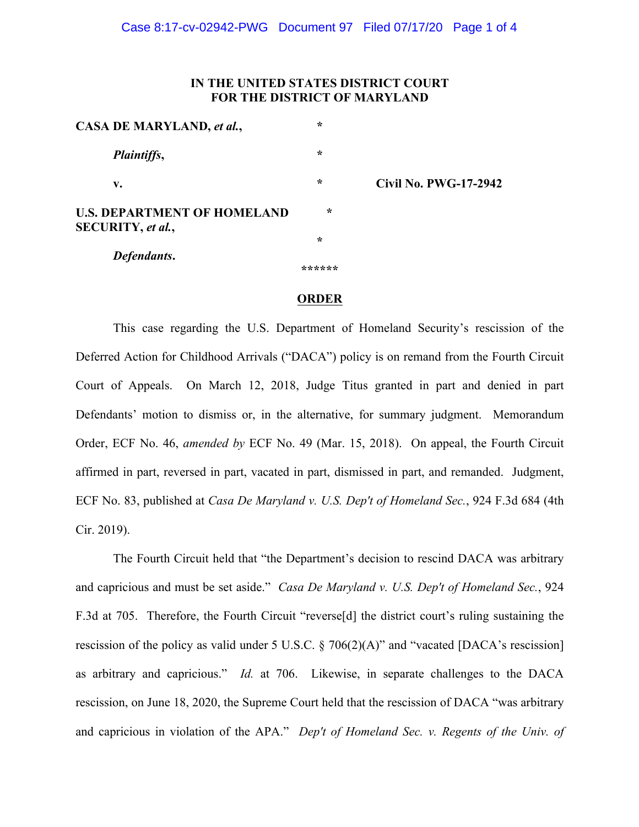## **IN THE UNITED STATES DISTRICT COURT FOR THE DISTRICT OF MARYLAND**

| CASA DE MARYLAND, et al.,                               | $\star$ |                              |
|---------------------------------------------------------|---------|------------------------------|
| <i>Plaintiffs,</i>                                      | $\star$ |                              |
| v.                                                      | $\star$ | <b>Civil No. PWG-17-2942</b> |
| <b>U.S. DEPARTMENT OF HOMELAND</b><br>SECURITY, et al., | $\star$ |                              |
|                                                         | $\star$ |                              |
| Defendants.                                             |         |                              |
|                                                         | ******  |                              |

## **ORDER**

This case regarding the U.S. Department of Homeland Security's rescission of the Deferred Action for Childhood Arrivals ("DACA") policy is on remand from the Fourth Circuit Court of Appeals. On March 12, 2018, Judge Titus granted in part and denied in part Defendants' motion to dismiss or, in the alternative, for summary judgment. Memorandum Order, ECF No. 46, *amended by* ECF No. 49 (Mar. 15, 2018). On appeal, the Fourth Circuit affirmed in part, reversed in part, vacated in part, dismissed in part, and remanded. Judgment, ECF No. 83, published at *Casa De Maryland v. U.S. Dep't of Homeland Sec.*, 924 F.3d 684 (4th Cir. 2019).

The Fourth Circuit held that "the Department's decision to rescind DACA was arbitrary and capricious and must be set aside." *Casa De Maryland v. U.S. Dep't of Homeland Sec.*, 924 F.3d at 705. Therefore, the Fourth Circuit "reverse[d] the district court's ruling sustaining the rescission of the policy as valid under 5 U.S.C. § 706(2)(A)" and "vacated [DACA's rescission] as arbitrary and capricious." *Id.* at 706. Likewise, in separate challenges to the DACA rescission, on June 18, 2020, the Supreme Court held that the rescission of DACA "was arbitrary and capricious in violation of the APA." *Dep't of Homeland Sec. v. Regents of the Univ. of*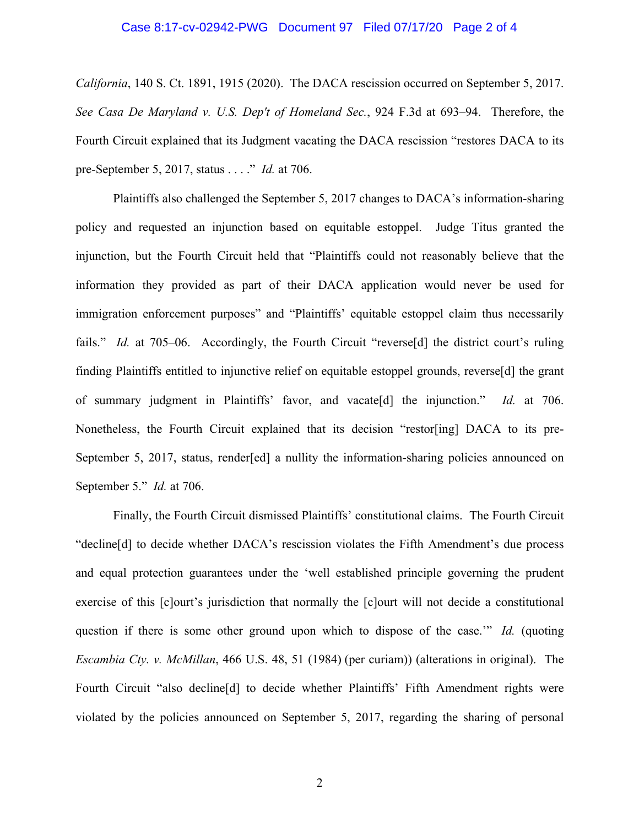## Case 8:17-cv-02942-PWG Document 97 Filed 07/17/20 Page 2 of 4

*California*, 140 S. Ct. 1891, 1915 (2020). The DACA rescission occurred on September 5, 2017. *See Casa De Maryland v. U.S. Dep't of Homeland Sec.*, 924 F.3d at 693–94. Therefore, the Fourth Circuit explained that its Judgment vacating the DACA rescission "restores DACA to its pre-September 5, 2017, status . . . ." *Id.* at 706.

Plaintiffs also challenged the September 5, 2017 changes to DACA's information-sharing policy and requested an injunction based on equitable estoppel. Judge Titus granted the injunction, but the Fourth Circuit held that "Plaintiffs could not reasonably believe that the information they provided as part of their DACA application would never be used for immigration enforcement purposes" and "Plaintiffs' equitable estoppel claim thus necessarily fails." *Id.* at 705–06. Accordingly, the Fourth Circuit "reverse<sup>[d]</sup> the district court's ruling finding Plaintiffs entitled to injunctive relief on equitable estoppel grounds, reverse[d] the grant of summary judgment in Plaintiffs' favor, and vacate[d] the injunction." *Id.* at 706. Nonetheless, the Fourth Circuit explained that its decision "restor[ing] DACA to its pre-September 5, 2017, status, render[ed] a nullity the information-sharing policies announced on September 5." *Id.* at 706.

Finally, the Fourth Circuit dismissed Plaintiffs' constitutional claims. The Fourth Circuit "decline[d] to decide whether DACA's rescission violates the Fifth Amendment's due process and equal protection guarantees under the 'well established principle governing the prudent exercise of this [c]ourt's jurisdiction that normally the [c]ourt will not decide a constitutional question if there is some other ground upon which to dispose of the case.'" *Id.* (quoting *Escambia Cty. v. McMillan*, 466 U.S. 48, 51 (1984) (per curiam)) (alterations in original). The Fourth Circuit "also decline[d] to decide whether Plaintiffs' Fifth Amendment rights were violated by the policies announced on September 5, 2017, regarding the sharing of personal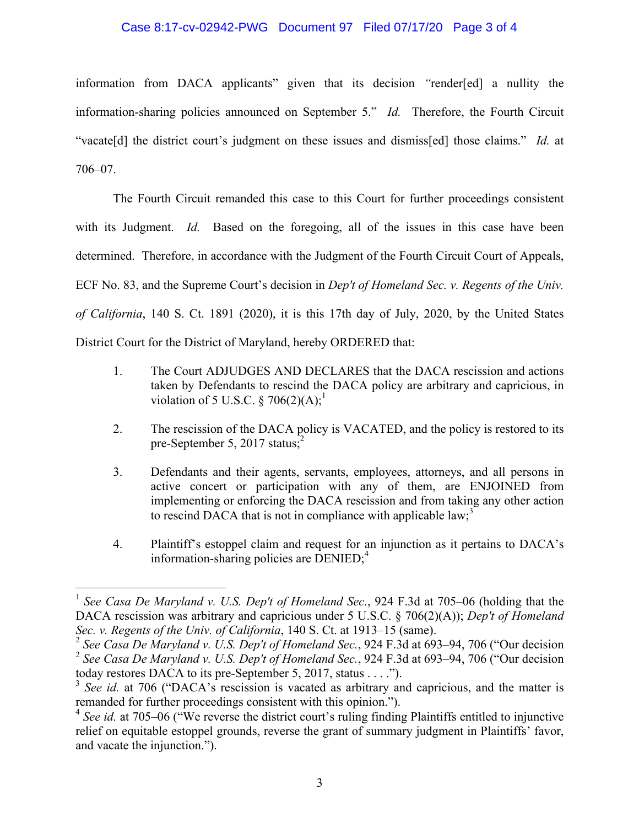## Case 8:17-cv-02942-PWG Document 97 Filed 07/17/20 Page 3 of 4

information from DACA applicants" given that its decision *"*render[ed] a nullity the information-sharing policies announced on September 5." *Id.* Therefore, the Fourth Circuit "vacate[d] the district court's judgment on these issues and dismiss[ed] those claims." *Id.* at 706–07.

The Fourth Circuit remanded this case to this Court for further proceedings consistent with its Judgment. *Id.* Based on the foregoing, all of the issues in this case have been determined. Therefore, in accordance with the Judgment of the Fourth Circuit Court of Appeals, ECF No. 83, and the Supreme Court's decision in *Dep't of Homeland Sec. v. Regents of the Univ. of California*, 140 S. Ct. 1891 (2020), it is this 17th day of July, 2020, by the United States District Court for the District of Maryland, hereby ORDERED that:

- 1. The Court ADJUDGES AND DECLARES that the DACA rescission and actions taken by Defendants to rescind the DACA policy are arbitrary and capricious, in violation of 5 U.S.C. § 706(2)(A);<sup>1</sup>
- 2. The rescission of the DACA policy is VACATED, and the policy is restored to its pre-September 5, 2017 status; $^{2}$
- 3. Defendants and their agents, servants, employees, attorneys, and all persons in active concert or participation with any of them, are ENJOINED from implementing or enforcing the DACA rescission and from taking any other action to rescind DACA that is not in compliance with applicable  $law$ ;<sup>3</sup>
- 4. Plaintiff's estoppel claim and request for an injunction as it pertains to DACA's information-sharing policies are  $\overline{D}$ ENIED;<sup>4</sup>

 <sup>1</sup> *See Casa De Maryland v. U.S. Dep't of Homeland Sec.*, 924 F.3d at 705–06 (holding that the DACA rescission was arbitrary and capricious under 5 U.S.C. § 706(2)(A)); *Dep't of Homeland Sec. v. Regents of the Univ. of California*, 140 S. Ct. at 1913–15 (same).

<sup>2</sup> *See Casa De Maryland v. U.S. Dep't of Homeland Sec.*, 924 F.3d at 693–94, 706 ("Our decision <sup>2</sup> *See Casa De Maryland v. U.S. Dep't of Homeland Sec.*, 924 F.3d at 693–94, 706 ("Our decision today restores DACA to its pre-September 5, 2017, status . . . .").

<sup>&</sup>lt;sup>3</sup> *See id.* at 706 ("DACA's rescission is vacated as arbitrary and capricious, and the matter is remanded for further proceedings consistent with this opinion.").

<sup>&</sup>lt;sup>4</sup> *See id.* at 705–06 ("We reverse the district court's ruling finding Plaintiffs entitled to injunctive relief on equitable estoppel grounds, reverse the grant of summary judgment in Plaintiffs' favor, and vacate the injunction.").